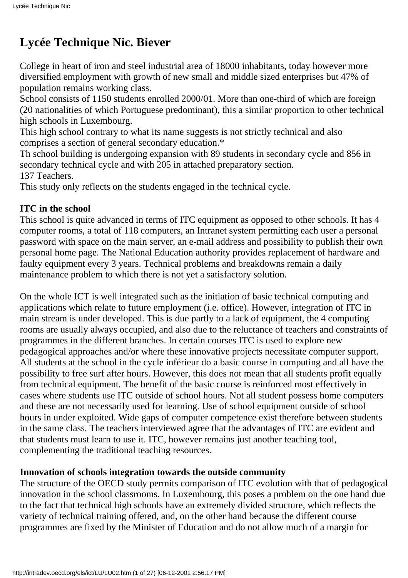# **Lycée Technique Nic. Biever**

College in heart of iron and steel industrial area of 18000 inhabitants, today however more diversified employment with growth of new small and middle sized enterprises but 47% of population remains working class.

School consists of 1150 students enrolled 2000/01. More than one-third of which are foreign (20 nationalities of which Portuguese predominant), this a similar proportion to other technical high schools in Luxembourg.

This high school contrary to what its name suggests is not strictly technical and also comprises a section of general secondary education.\*

Th school building is undergoing expansion with 89 students in secondary cycle and 856 in secondary technical cycle and with 205 in attached preparatory section.

137 Teachers.

This study only reflects on the students engaged in the technical cycle.

# **ITC in the school**

This school is quite advanced in terms of ITC equipment as opposed to other schools. It has 4 computer rooms, a total of 118 computers, an Intranet system permitting each user a personal password with space on the main server, an e-mail address and possibility to publish their own personal home page. The National Education authority provides replacement of hardware and faulty equipment every 3 years. Technical problems and breakdowns remain a daily maintenance problem to which there is not yet a satisfactory solution.

On the whole ICT is well integrated such as the initiation of basic technical computing and applications which relate to future employment (i.e. office). However, integration of ITC in main stream is under developed. This is due partly to a lack of equipment, the 4 computing rooms are usually always occupied, and also due to the reluctance of teachers and constraints of programmes in the different branches. In certain courses ITC is used to explore new pedagogical approaches and/or where these innovative projects necessitate computer support. All students at the school in the cycle inférieur do a basic course in computing and all have the possibility to free surf after hours. However, this does not mean that all students profit equally from technical equipment. The benefit of the basic course is reinforced most effectively in cases where students use ITC outside of school hours. Not all student possess home computers and these are not necessarily used for learning. Use of school equipment outside of school hours in under exploited. Wide gaps of computer competence exist therefore between students in the same class. The teachers interviewed agree that the advantages of ITC are evident and that students must learn to use it. ITC, however remains just another teaching tool, complementing the traditional teaching resources.

# **Innovation of schools integration towards the outside community**

The structure of the OECD study permits comparison of ITC evolution with that of pedagogical innovation in the school classrooms. In Luxembourg, this poses a problem on the one hand due to the fact that technical high schools have an extremely divided structure, which reflects the variety of technical training offered, and, on the other hand because the different course programmes are fixed by the Minister of Education and do not allow much of a margin for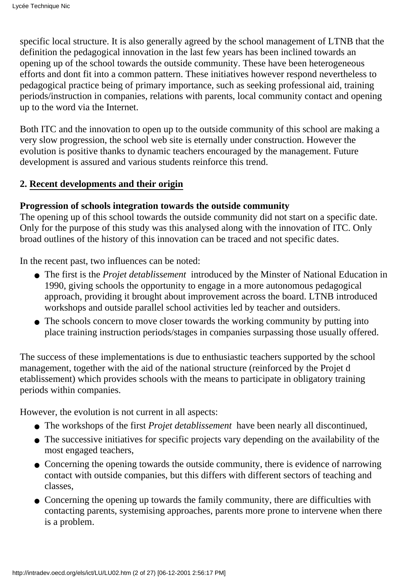specific local structure. It is also generally agreed by the school management of LTNB that the definition the pedagogical innovation in the last few years has been inclined towards an opening up of the school towards the outside community. These have been heterogeneous efforts and dont fit into a common pattern. These initiatives however respond nevertheless to pedagogical practice being of primary importance, such as seeking professional aid, training periods/instruction in companies, relations with parents, local community contact and opening up to the word via the Internet.

Both ITC and the innovation to open up to the outside community of this school are making a very slow progression, the school web site is eternally under construction. However the evolution is positive thanks to dynamic teachers encouraged by the management. Future development is assured and various students reinforce this trend.

## **2. Recent developments and their origin**

## **Progression of schools integration towards the outside community**

The opening up of this school towards the outside community did not start on a specific date. Only for the purpose of this study was this analysed along with the innovation of ITC. Only broad outlines of the history of this innovation can be traced and not specific dates.

In the recent past, two influences can be noted:

- The first is the *Projet d etablissement* introduced by the Minster of National Education in 1990, giving schools the opportunity to engage in a more autonomous pedagogical approach, providing it brought about improvement across the board. LTNB introduced workshops and outside parallel school activities led by teacher and outsiders.
- The school s concern to move closer towards the working community by putting into place training instruction periods/stages in companies surpassing those usually offered.

The success of these implementations is due to enthusiastic teachers supported by the school management, together with the aid of the national structure (reinforced by the Projet d etablissement) which provides schools with the means to participate in obligatory training periods within companies.

However, the evolution is not current in all aspects:

- The workshops of the first *Projet d etablissement* have been nearly all discontinued,
- The successive initiatives for specific projects vary depending on the availability of the most engaged teachers,
- Concerning the opening towards the outside community, there is evidence of narrowing contact with outside companies, but this differs with different sectors of teaching and classes,
- Concerning the opening up towards the family community, there are difficulties with contacting parents, systemising approaches, parents more prone to intervene when there is a problem.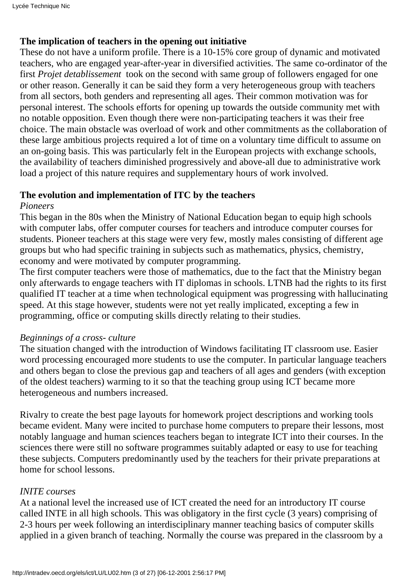# **The implication of teachers in the opening out initiative**

These do not have a uniform profile. There is a 10-15% core group of dynamic and motivated teachers, who are engaged year-after-year in diversified activities. The same co-ordinator of the first *Projet detablissement* took on the second with same group of followers engaged for one or other reason. Generally it can be said they form a very heterogeneous group with teachers from all sectors, both genders and representing all ages. Their common motivation was for personal interest. The schools efforts for opening up towards the outside community met with no notable opposition. Even though there were non-participating teachers it was their free choice. The main obstacle was overload of work and other commitments as the collaboration of these large ambitious projects required a lot of time on a voluntary time difficult to assume on an on-going basis. This was particularly felt in the European projects with exchange schools, the availability of teachers diminished progressively and above-all due to administrative work load a project of this nature requires and supplementary hours of work involved.

# **The evolution and implementation of ITC by the teachers**

## *Pioneers*

This began in the 80s when the Ministry of National Education began to equip high schools with computer labs, offer computer courses for teachers and introduce computer courses for students. Pioneer teachers at this stage were very few, mostly males consisting of different age groups but who had specific training in subjects such as mathematics, physics, chemistry, economy and were motivated by computer programming.

The first computer teachers were those of mathematics, due to the fact that the Ministry began only afterwards to engage teachers with IT diplomas in schools. LTNB had the rights to its first qualified IT teacher at a time when technological equipment was progressing with hallucinating speed. At this stage however, students were not yet really implicated, excepting a few in programming, office or computing skills directly relating to their studies.

# *Beginnings of a cross- culture*

The situation changed with the introduction of Windows facilitating IT classroom use. Easier word processing encouraged more students to use the computer. In particular language teachers and others began to close the previous gap and teachers of all ages and genders (with exception of the oldest teachers) warming to it so that the teaching group using ICT became more heterogeneous and numbers increased.

Rivalry to create the best page layouts for homework project descriptions and working tools became evident. Many were incited to purchase home computers to prepare their lessons, most notably language and human sciences teachers began to integrate ICT into their courses. In the sciences there were still no software programmes suitably adapted or easy to use for teaching these subjects. Computers predominantly used by the teachers for their private preparations at home for school lessons.

# *INITE courses*

At a national level the increased use of ICT created the need for an introductory IT course called INTE in all high schools. This was obligatory in the first cycle (3 years) comprising of 2-3 hours per week following an interdisciplinary manner teaching basics of computer skills applied in a given branch of teaching. Normally the course was prepared in the classroom by a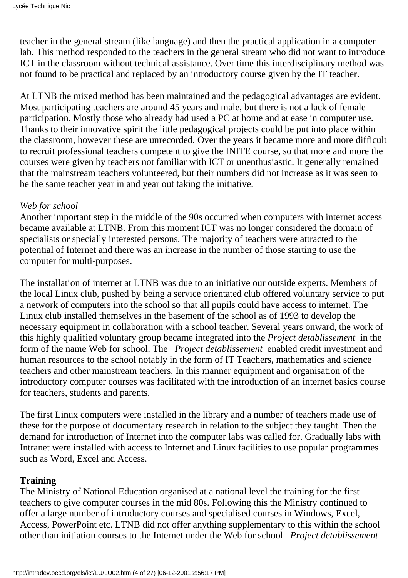teacher in the general stream (like language) and then the practical application in a computer lab. This method responded to the teachers in the general stream who did not want to introduce ICT in the classroom without technical assistance. Over time this interdisciplinary method was not found to be practical and replaced by an introductory course given by the IT teacher.

At LTNB the mixed method has been maintained and the pedagogical advantages are evident. Most participating teachers are around 45 years and male, but there is not a lack of female participation. Mostly those who already had used a PC at home and at ease in computer use. Thanks to their innovative spirit the little pedagogical projects could be put into place within the classroom, however these are unrecorded. Over the years it became more and more difficult to recruit professional teachers competent to give the INITE course, so that more and more the courses were given by teachers not familiar with ICT or unenthusiastic. It generally remained that the mainstream teachers volunteered, but their numbers did not increase as it was seen to be the same teacher year in and year out taking the initiative.

#### *Web for school*

Another important step in the middle of the 90s occurred when computers with internet access became available at LTNB. From this moment ICT was no longer considered the domain of specialists or specially interested persons. The majority of teachers were attracted to the potential of Internet and there was an increase in the number of those starting to use the computer for multi-purposes.

The installation of internet at LTNB was due to an initiative our outside experts. Members of the local Linux club, pushed by being a service orientated club offered voluntary service to put a network of computers into the school so that all pupils could have access to internet. The Linux club installed themselves in the basement of the school as of 1993 to develop the necessary equipment in collaboration with a school teacher. Several years onward, the work of this highly qualified voluntary group became integrated into the *Project detablissement* in the form of the name Web for school. The *Project detablissement* enabled credit investment and human resources to the school notably in the form of IT Teachers, mathematics and science teachers and other mainstream teachers. In this manner equipment and organisation of the introductory computer courses was facilitated with the introduction of an internet basics course for teachers, students and parents.

The first Linux computers were installed in the library and a number of teachers made use of these for the purpose of documentary research in relation to the subject they taught. Then the demand for introduction of Internet into the computer labs was called for. Gradually labs with Intranet were installed with access to Internet and Linux facilities to use popular programmes such as Word, Excel and Access.

## **Training**

The Ministry of National Education organised at a national level the training for the first teachers to give computer courses in the mid 80s. Following this the Ministry continued to offer a large number of introductory courses and specialised courses in Windows, Excel, Access, PowerPoint etc. LTNB did not offer anything supplementary to this within the school other than initiation courses to the Internet under the Web for school *Project detablissement*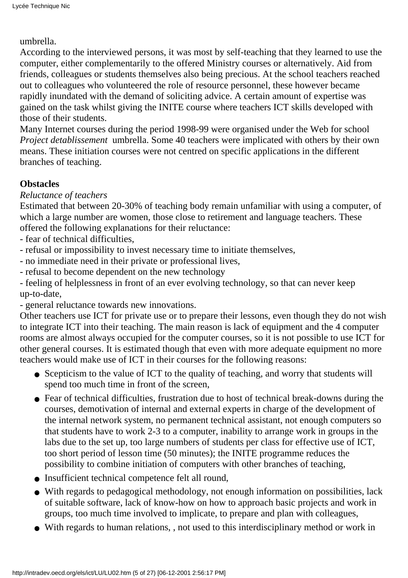#### umbrella.

According to the interviewed persons, it was most by self-teaching that they learned to use the computer, either complementarily to the offered Ministry courses or alternatively. Aid from friends, colleagues or students themselves also being precious. At the school teachers reached out to colleagues who volunteered the role of resource personnel, these however became rapidly inundated with the demand of soliciting advice. A certain amount of expertise was gained on the task whilst giving the INITE course where teachers ICT skills developed with those of their students.

Many Internet courses during the period 1998-99 were organised under the Web for school *Project d etablissement* umbrella. Some 40 teachers were implicated with others by their own means. These initiation courses were not centred on specific applications in the different branches of teaching.

## **Obstacles**

## *Reluctance of teachers*

Estimated that between 20-30% of teaching body remain unfamiliar with using a computer, of which a large number are women, those close to retirement and language teachers. These offered the following explanations for their reluctance:

- fear of technical difficulties,
- refusal or impossibility to invest necessary time to initiate themselves,
- no immediate need in their private or professional lives,
- refusal to become dependent on the new technology

- feeling of helplessness in front of an ever evolving technology, so that can never keep up-to-date,

- general reluctance towards new innovations.

Other teachers use ICT for private use or to prepare their lessons, even though they do not wish to integrate ICT into their teaching. The main reason is lack of equipment and the 4 computer rooms are almost always occupied for the computer courses, so it is not possible to use ICT for other general courses. It is estimated though that even with more adequate equipment no more teachers would make use of ICT in their courses for the following reasons:

- Scepticism to the value of ICT to the quality of teaching, and worry that students will spend too much time in front of the screen,
- Fear of technical difficulties, frustration due to host of technical break-downs during the courses, demotivation of internal and external experts in charge of the development of the internal network system, no permanent technical assistant, not enough computers so that students have to work 2-3 to a computer, inability to arrange work in groups in the labs due to the set up, too large numbers of students per class for effective use of ICT, too short period of lesson time (50 minutes); the INITE programme reduces the possibility to combine initiation of computers with other branches of teaching,
- Insufficient technical competence felt all round,
- With regards to pedagogical methodology, not enough information on possibilities, lack of suitable software, lack of know-how on how to approach basic projects and work in groups, too much time involved to implicate, to prepare and plan with colleagues,
- With regards to human relations, , not used to this interdisciplinary method or work in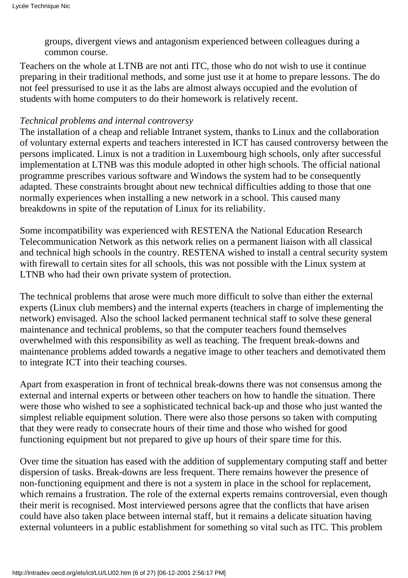groups, divergent views and antagonism experienced between colleagues during a common course.

Teachers on the whole at LTNB are not anti ITC, those who do not wish to use it continue preparing in their traditional methods, and some just use it at home to prepare lessons. The do not feel pressurised to use it as the labs are almost always occupied and the evolution of students with home computers to do their homework is relatively recent.

#### *Technical problems and internal controversy*

The installation of a cheap and reliable Intranet system, thanks to Linux and the collaboration of voluntary external experts and teachers interested in ICT has caused controversy between the persons implicated. Linux is not a tradition in Luxembourg high schools, only after successful implementation at LTNB was this module adopted in other high schools. The official national programme prescribes various software and Windows the system had to be consequently adapted. These constraints brought about new technical difficulties adding to those that one normally experiences when installing a new network in a school. This caused many breakdowns in spite of the reputation of Linux for its reliability.

Some incompatibility was experienced with RESTENA the National Education Research Telecommunication Network as this network relies on a permanent liaison with all classical and technical high schools in the country. RESTENA wished to install a central security system with firewall to certain sites for all schools, this was not possible with the Linux system at LTNB who had their own private system of protection.

The technical problems that arose were much more difficult to solve than either the external experts (Linux club members) and the internal experts (teachers in charge of implementing the network) envisaged. Also the school lacked permanent technical staff to solve these general maintenance and technical problems, so that the computer teachers found themselves overwhelmed with this responsibility as well as teaching. The frequent break-downs and maintenance problems added towards a negative image to other teachers and demotivated them to integrate ICT into their teaching courses.

Apart from exasperation in front of technical break-downs there was not consensus among the external and internal experts or between other teachers on how to handle the situation. There were those who wished to see a sophisticated technical back-up and those who just wanted the simplest reliable equipment solution. There were also those persons so taken with computing that they were ready to consecrate hours of their time and those who wished for good functioning equipment but not prepared to give up hours of their spare time for this.

Over time the situation has eased with the addition of supplementary computing staff and better dispersion of tasks. Break-downs are less frequent. There remains however the presence of non-functioning equipment and there is not a system in place in the school for replacement, which remains a frustration. The role of the external experts remains controversial, even though their merit is recognised. Most interviewed persons agree that the conflicts that have arisen could have also taken place between internal staff, but it remains a delicate situation having external volunteers in a public establishment for something so vital such as ITC. This problem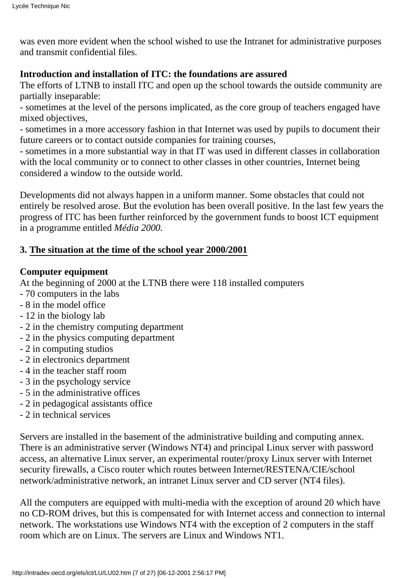was even more evident when the school wished to use the Intranet for administrative purposes and transmit confidential files.

# **Introduction and installation of ITC: the foundations are assured**

The efforts of LTNB to install ITC and open up the school towards the outside community are partially inseparable:

- sometimes at the level of the persons implicated, as the core group of teachers engaged have mixed objectives,

- sometimes in a more accessory fashion in that Internet was used by pupils to document their future careers or to contact outside companies for training courses,

- sometimes in a more substantial way in that IT was used in different classes in collaboration with the local community or to connect to other classes in other countries, Internet being considered a window to the outside world.

Developments did not always happen in a uniform manner. Some obstacles that could not entirely be resolved arose. But the evolution has been overall positive. In the last few years the progress of ITC has been further reinforced by the government funds to boost ICT equipment in a programme entitled *Média 2000.*

# **3. The situation at the time of the school year 2000/2001**

# **Computer equipment**

At the beginning of 2000 at the LTNB there were 118 installed computers

- 70 computers in the labs
- 8 in the model office
- 12 in the biology lab
- 2 in the chemistry computing department
- 2 in the physics computing department
- 2 in computing studios
- 2 in electronics department
- 4 in the teacher staff room
- 3 in the psychology service
- 5 in the administrative offices
- 2 in pedagogical assistants office
- 2 in technical services

Servers are installed in the basement of the administrative building and computing annex. There is an administrative server (Windows NT4) and principal Linux server with password access, an alternative Linux server, an experimental router/proxy Linux server with Internet security firewalls, a Cisco router which routes between Internet/RESTENA/CIE/school network/administrative network, an intranet Linux server and CD server (NT4 files).

All the computers are equipped with multi-media with the exception of around 20 which have no CD-ROM drives, but this is compensated for with Internet access and connection to internal network. The workstations use Windows NT4 with the exception of 2 computers in the staff room which are on Linux. The servers are Linux and Windows NT1.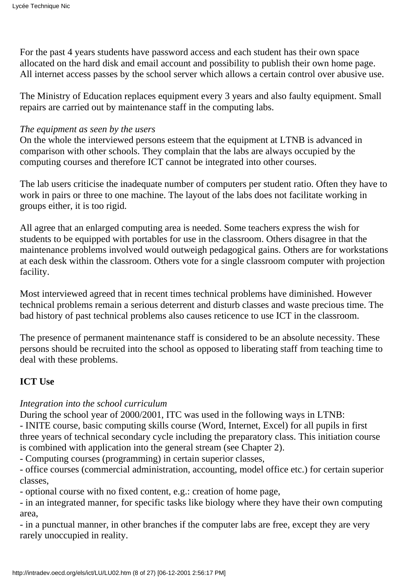For the past 4 years students have password access and each student has their own space allocated on the hard disk and email account and possibility to publish their own home page. All internet access passes by the school server which allows a certain control over abusive use.

The Ministry of Education replaces equipment every 3 years and also faulty equipment. Small repairs are carried out by maintenance staff in the computing labs.

## *The equipment as seen by the users*

On the whole the interviewed persons esteem that the equipment at LTNB is advanced in comparison with other schools. They complain that the labs are always occupied by the computing courses and therefore ICT cannot be integrated into other courses.

The lab users criticise the inadequate number of computers per student ratio. Often they have to work in pairs or three to one machine. The layout of the labs does not facilitate working in groups either, it is too rigid.

All agree that an enlarged computing area is needed. Some teachers express the wish for students to be equipped with portables for use in the classroom. Others disagree in that the maintenance problems involved would outweigh pedagogical gains. Others are for workstations at each desk within the classroom. Others vote for a single classroom computer with projection facility.

Most interviewed agreed that in recent times technical problems have diminished. However technical problems remain a serious deterrent and disturb classes and waste precious time. The bad history of past technical problems also causes reticence to use ICT in the classroom.

The presence of permanent maintenance staff is considered to be an absolute necessity. These persons should be recruited into the school as opposed to liberating staff from teaching time to deal with these problems.

# **ICT Use**

# *Integration into the school curriculum*

During the school year of 2000/2001, ITC was used in the following ways in LTNB: - INITE course, basic computing skills course (Word, Internet, Excel) for all pupils in first three years of technical secondary cycle including the preparatory class. This initiation course is combined with application into the general stream (see Chapter 2).

- Computing courses (programming) in certain superior classes,

- office courses (commercial administration, accounting, model office etc.) for certain superior classes,

- optional course with no fixed content, e.g.: creation of home page,

- in an integrated manner, for specific tasks like biology where they have their own computing area,

- in a punctual manner, in other branches if the computer labs are free, except they are very rarely unoccupied in reality.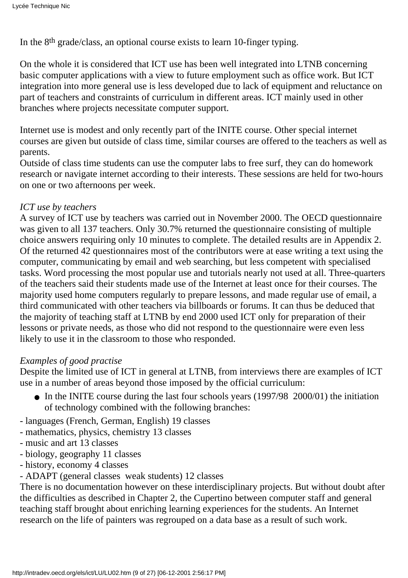In the 8th grade/class, an optional course exists to learn 10-finger typing.

On the whole it is considered that ICT use has been well integrated into LTNB concerning basic computer applications with a view to future employment such as office work. But ICT integration into more general use is less developed due to lack of equipment and reluctance on part of teachers and constraints of curriculum in different areas. ICT mainly used in other branches where projects necessitate computer support.

Internet use is modest and only recently part of the INITE course. Other special internet courses are given but outside of class time, similar courses are offered to the teachers as well as parents.

Outside of class time students can use the computer labs to free surf, they can do homework research or navigate internet according to their interests. These sessions are held for two-hours on one or two afternoons per week.

## *ICT use by teachers*

A survey of ICT use by teachers was carried out in November 2000. The OECD questionnaire was given to all 137 teachers. Only 30.7% returned the questionnaire consisting of multiple choice answers requiring only 10 minutes to complete. The detailed results are in Appendix 2. Of the returned 42 questionnaires most of the contributors were at ease writing a text using the computer, communicating by email and web searching, but less competent with specialised tasks. Word processing the most popular use and tutorials nearly not used at all. Three-quarters of the teachers said their students made use of the Internet at least once for their courses. The majority used home computers regularly to prepare lessons, and made regular use of email, a third communicated with other teachers via billboards or forums. It can thus be deduced that the majority of teaching staff at LTNB by end 2000 used ICT only for preparation of their lessons or private needs, as those who did not respond to the questionnaire were even less likely to use it in the classroom to those who responded.

# *Examples of good practise*

Despite the limited use of ICT in general at LTNB, from interviews there are examples of ICT use in a number of areas beyond those imposed by the official curriculum:

- In the INITE course during the last four schools years (1997/98 2000/01) the initiation of technology combined with the following branches:
- languages (French, German, English) 19 classes
- mathematics, physics, chemistry 13 classes
- music and art 13 classes
- biology, geography 11 classes
- history, economy 4 classes
- ADAPT (general classes weak students) 12 classes

There is no documentation however on these interdisciplinary projects. But without doubt after the difficulties as described in Chapter 2, the Cupertino between computer staff and general teaching staff brought about enriching learning experiences for the students. An Internet research on the life of painters was regrouped on a data base as a result of such work.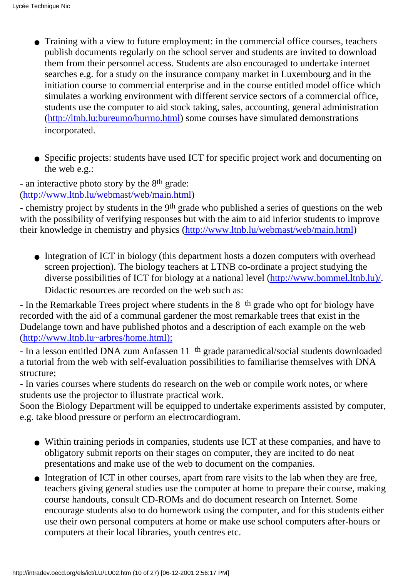- Training with a view to future employment: in the commercial office courses, teachers publish documents regularly on the school server and students are invited to download them from their personnel access. Students are also encouraged to undertake internet searches e.g. for a study on the insurance company market in Luxembourg and in the initiation course to commercial enterprise and in the course entitled model office which simulates a working environment with different service sectors of a commercial office, students use the computer to aid stock taking, sales, accounting, general administration ([http://ltnb.lu:bureumo/burmo.html\)](http://ltnb.lu:0/burmo.html) some courses have simulated demonstrations incorporated.
- Specific projects: students have used ICT for specific project work and documenting on the web e.g.:

- an interactive photo story by the 8<sup>th</sup> grade: (<http://www.ltnb.lu/webmast/web/main.html>)

- chemistry project by students in the 9th grade who published a series of questions on the web with the possibility of verifying responses but with the aim to aid inferior students to improve their knowledge in chemistry and physics [\(http://www.ltnb.lu/webmast/web/main.html](http://www.ltnb.lu/webmast/web/main.html))

• Integration of ICT in biology (this department hosts a dozen computers with overhead screen projection). The biology teachers at LTNB co-ordinate a project studying the diverse possibilities of ICT for biology at a national level ([http://www.bommel.ltnb.lu\)/](http://www.bommel.ltnb.lu)/). Didactic resources are recorded on the web such as:

- In the Remarkable Trees project where students in the 8th grade who opt for biology have recorded with the aid of a communal gardener the most remarkable trees that exist in the Dudelange town and have published photos and a description of each example on the web ([http://www.ltnb.lu~arbres/home.html\);](http://www.ltnb.lu~arbres/home.html);)

- In a lesson entitled DNA zum Anfassen 11th grade paramedical/social students downloaded a tutorial from the web with self-evaluation possibilities to familiarise themselves with DNA structure;

- In varies courses where students do research on the web or compile work notes, or where students use the projector to illustrate practical work.

Soon the Biology Department will be equipped to undertake experiments assisted by computer, e.g. take blood pressure or perform an electrocardiogram.

- Within training periods in companies, students use ICT at these companies, and have to obligatory submit reports on their stages on computer, they are incited to do neat presentations and make use of the web to document on the companies.
- Integration of ICT in other courses, apart from rare visits to the lab when they are free, teachers giving general studies use the computer at home to prepare their course, making course handouts, consult CD-ROMs and do document research on Internet. Some encourage students also to do homework using the computer, and for this students either use their own personal computers at home or make use school computers after-hours or computers at their local libraries, youth centres etc.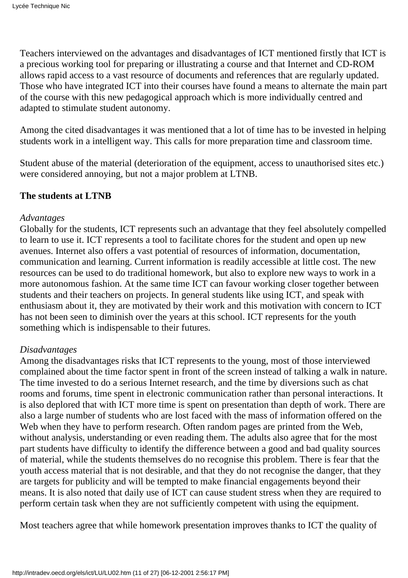Teachers interviewed on the advantages and disadvantages of ICT mentioned firstly that ICT is a precious working tool for preparing or illustrating a course and that Internet and CD-ROM allows rapid access to a vast resource of documents and references that are regularly updated. Those who have integrated ICT into their courses have found a means to alternate the main part of the course with this new pedagogical approach which is more individually centred and adapted to stimulate student autonomy.

Among the cited disadvantages it was mentioned that a lot of time has to be invested in helping students work in a intelligent way. This calls for more preparation time and classroom time.

Student abuse of the material (deterioration of the equipment, access to unauthorised sites etc.) were considered annoying, but not a major problem at LTNB.

# **The students at LTNB**

#### *Advantages*

Globally for the students, ICT represents such an advantage that they feel absolutely compelled to learn to use it. ICT represents a tool to facilitate chores for the student and open up new avenues. Internet also offers a vast potential of resources of information, documentation, communication and learning. Current information is readily accessible at little cost. The new resources can be used to do traditional homework, but also to explore new ways to work in a more autonomous fashion. At the same time ICT can favour working closer together between students and their teachers on projects. In general students like using ICT, and speak with enthusiasm about it, they are motivated by their work and this motivation with concern to ICT has not been seen to diminish over the years at this school. ICT represents for the youth something which is indispensable to their futures.

## *Disadvantages*

Among the disadvantages risks that ICT represents to the young, most of those interviewed complained about the time factor spent in front of the screen instead of talking a walk in nature. The time invested to do a serious Internet research, and the time by diversions such as chat rooms and forums, time spent in electronic communication rather than personal interactions. It is also deplored that with ICT more time is spent on presentation than depth of work. There are also a large number of students who are lost faced with the mass of information offered on the Web when they have to perform research. Often random pages are printed from the Web, without analysis, understanding or even reading them. The adults also agree that for the most part students have difficulty to identify the difference between a good and bad quality sources of material, while the students themselves do no recognise this problem. There is fear that the youth access material that is not desirable, and that they do not recognise the danger, that they are targets for publicity and will be tempted to make financial engagements beyond their means. It is also noted that daily use of ICT can cause student stress when they are required to perform certain task when they are not sufficiently competent with using the equipment.

Most teachers agree that while homework presentation improves thanks to ICT the quality of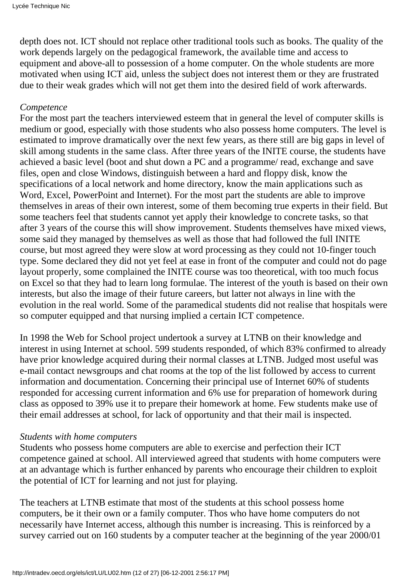depth does not. ICT should not replace other traditional tools such as books. The quality of the work depends largely on the pedagogical framework, the available time and access to equipment and above-all to possession of a home computer. On the whole students are more motivated when using ICT aid, unless the subject does not interest them or they are frustrated due to their weak grades which will not get them into the desired field of work afterwards.

## *Competence*

For the most part the teachers interviewed esteem that in general the level of computer skills is medium or good, especially with those students who also possess home computers. The level is estimated to improve dramatically over the next few years, as there still are big gaps in level of skill among students in the same class. After three years of the INITE course, the students have achieved a basic level (boot and shut down a PC and a programme/ read, exchange and save files, open and close Windows, distinguish between a hard and floppy disk, know the specifications of a local network and home directory, know the main applications such as Word, Excel, PowerPoint and Internet). For the most part the students are able to improve themselves in areas of their own interest, some of them becoming true experts in their field. But some teachers feel that students cannot yet apply their knowledge to concrete tasks, so that after 3 years of the course this will show improvement. Students themselves have mixed views, some said they managed by themselves as well as those that had followed the full INITE course, but most agreed they were slow at word processing as they could not 10-finger touch type. Some declared they did not yet feel at ease in front of the computer and could not do page layout properly, some complained the INITE course was too theoretical, with too much focus on Excel so that they had to learn long formulae. The interest of the youth is based on their own interests, but also the image of their future careers, but latter not always in line with the evolution in the real world. Some of the paramedical students did not realise that hospitals were so computer equipped and that nursing implied a certain ICT competence.

In 1998 the Web for School project undertook a survey at LTNB on their knowledge and interest in using Internet at school. 599 students responded, of which 83% confirmed to already have prior knowledge acquired during their normal classes at LTNB. Judged most useful was e-mail contact newsgroups and chat rooms at the top of the list followed by access to current information and documentation. Concerning their principal use of Internet 60% of students responded for accessing current information and 6% use for preparation of homework during class as opposed to 39% use it to prepare their homework at home. Few students make use of their email addresses at school, for lack of opportunity and that their mail is inspected.

## *Students with home computers*

Students who possess home computers are able to exercise and perfection their ICT competence gained at school. All interviewed agreed that students with home computers were at an advantage which is further enhanced by parents who encourage their children to exploit the potential of ICT for learning and not just for playing.

The teachers at LTNB estimate that most of the students at this school possess home computers, be it their own or a family computer. Thos who have home computers do not necessarily have Internet access, although this number is increasing. This is reinforced by a survey carried out on 160 students by a computer teacher at the beginning of the year 2000/01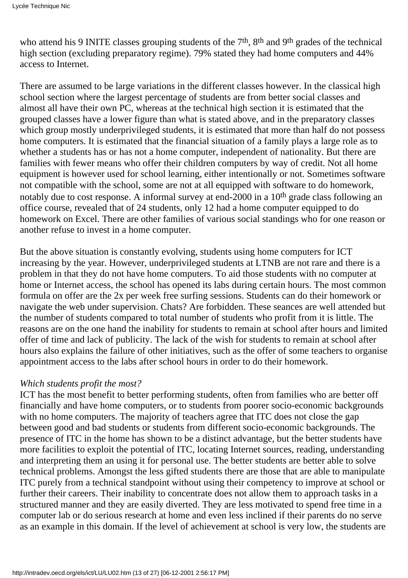who attend his 9 INITE classes grouping students of the 7<sup>th</sup>, 8<sup>th</sup> and 9<sup>th</sup> grades of the technical high section (excluding preparatory regime). 79% stated they had home computers and 44% access to Internet.

There are assumed to be large variations in the different classes however. In the classical high school section where the largest percentage of students are from better social classes and almost all have their own PC, whereas at the technical high section it is estimated that the grouped classes have a lower figure than what is stated above, and in the preparatory classes which group mostly underprivileged students, it is estimated that more than half do not possess home computers. It is estimated that the financial situation of a family plays a large role as to whether a students has or has not a home computer, independent of nationality. But there are families with fewer means who offer their children computers by way of credit. Not all home equipment is however used for school learning, either intentionally or not. Sometimes software not compatible with the school, some are not at all equipped with software to do homework, notably due to cost response. A informal survey at end-2000 in a 10th grade class following an office course, revealed that of 24 students, only 12 had a home computer equipped to do homework on Excel. There are other families of various social standings who for one reason or another refuse to invest in a home computer.

But the above situation is constantly evolving, students using home computers for ICT increasing by the year. However, underprivileged students at LTNB are not rare and there is a problem in that they do not have home computers. To aid those students with no computer at home or Internet access, the school has opened its labs during certain hours. The most common formula on offer are the 2x per week free surfing sessions. Students can do their homework or navigate the web under supervision. Chats? Are forbidden. These seances are well attended but the number of students compared to total number of students who profit from it is little. The reasons are on the one hand the inability for students to remain at school after hours and limited offer of time and lack of publicity. The lack of the wish for students to remain at school after hours also explains the failure of other initiatives, such as the offer of some teachers to organise appointment access to the labs after school hours in order to do their homework.

## *Which students profit the most?*

ICT has the most benefit to better performing students, often from families who are better off financially and have home computers, or to students from poorer socio-economic backgrounds with no home computers. The majority of teachers agree that ITC does not close the gap between good and bad students or students from different socio-economic backgrounds. The presence of ITC in the home has shown to be a distinct advantage, but the better students have more facilities to exploit the potential of ITC, locating Internet sources, reading, understanding and interpreting them an using it for personal use. The better students are better able to solve technical problems. Amongst the less gifted students there are those that are able to manipulate ITC purely from a technical standpoint without using their competency to improve at school or further their careers. Their inability to concentrate does not allow them to approach tasks in a structured manner and they are easily diverted. They are less motivated to spend free time in a computer lab or do serious research at home and even less inclined if their parents do no serve as an example in this domain. If the level of achievement at school is very low, the students are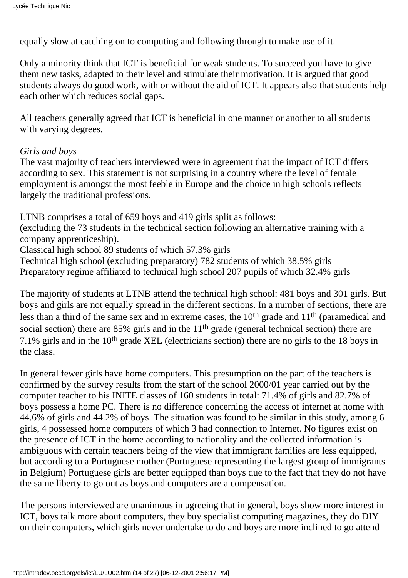equally slow at catching on to computing and following through to make use of it.

Only a minority think that ICT is beneficial for weak students. To succeed you have to give them new tasks, adapted to their level and stimulate their motivation. It is argued that good students always do good work, with or without the aid of ICT. It appears also that students help each other which reduces social gaps.

All teachers generally agreed that ICT is beneficial in one manner or another to all students with varying degrees.

#### *Girls and boys*

The vast majority of teachers interviewed were in agreement that the impact of ICT differs according to sex. This statement is not surprising in a country where the level of female employment is amongst the most feeble in Europe and the choice in high schools reflects largely the traditional professions.

LTNB comprises a total of 659 boys and 419 girls split as follows: (excluding the 73 students in the technical section following an alternative training with a company apprenticeship). Classical high school 89 students of which 57.3% girls Technical high school (excluding preparatory) 782 students of which 38.5% girls Preparatory regime affiliated to technical high school 207 pupils of which 32.4% girls

The majority of students at LTNB attend the technical high school: 481 boys and 301 girls. But boys and girls are not equally spread in the different sections. In a number of sections, there are less than a third of the same sex and in extreme cases, the 10th grade and 11th (paramedical and social section) there are 85% girls and in the 11<sup>th</sup> grade (general technical section) there are 7.1% girls and in the 10th grade XEL (electricians section) there are no girls to the 18 boys in the class.

In general fewer girls have home computers. This presumption on the part of the teachers is confirmed by the survey results from the start of the school 2000/01 year carried out by the computer teacher to his INITE classes of 160 students in total: 71.4% of girls and 82.7% of boys possess a home PC. There is no difference concerning the access of internet at home with 44.6% of girls and 44.2% of boys. The situation was found to be similar in this study, among 6 girls, 4 possessed home computers of which 3 had connection to Internet. No figures exist on the presence of ICT in the home according to nationality and the collected information is ambiguous with certain teachers being of the view that immigrant families are less equipped, but according to a Portuguese mother (Portuguese representing the largest group of immigrants in Belgium) Portuguese girls are better equipped than boys due to the fact that they do not have the same liberty to go out as boys and computers are a compensation.

The persons interviewed are unanimous in agreeing that in general, boys show more interest in ICT, boys talk more about computers, they buy specialist computing magazines, they do DIY on their computers, which girls never undertake to do and boys are more inclined to go attend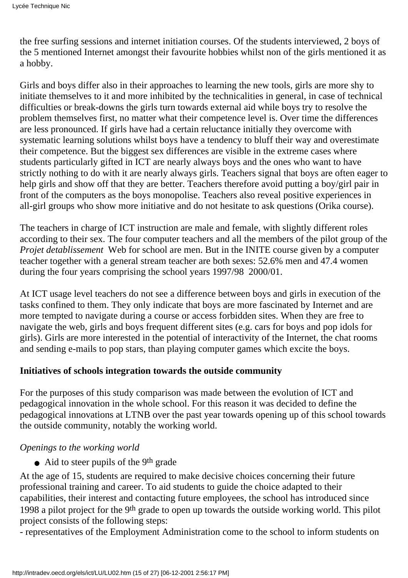the free surfing sessions and internet initiation courses. Of the students interviewed, 2 boys of the 5 mentioned Internet amongst their favourite hobbies whilst non of the girls mentioned it as a hobby.

Girls and boys differ also in their approaches to learning the new tools, girls are more shy to initiate themselves to it and more inhibited by the technicalities in general, in case of technical difficulties or break-downs the girls turn towards external aid while boys try to resolve the problem themselves first, no matter what their competence level is. Over time the differences are less pronounced. If girls have had a certain reluctance initially they overcome with systematic learning solutions whilst boys have a tendency to bluff their way and overestimate their competence. But the biggest sex differences are visible in the extreme cases where students particularly gifted in ICT are nearly always boys and the ones who want to have strictly nothing to do with it are nearly always girls. Teachers signal that boys are often eager to help girls and show off that they are better. Teachers therefore avoid putting a boy/girl pair in front of the computers as the boys monopolise. Teachers also reveal positive experiences in all-girl groups who show more initiative and do not hesitate to ask questions (Orika course).

The teachers in charge of ICT instruction are male and female, with slightly different roles according to their sex. The four computer teachers and all the members of the pilot group of the *Projet d etablissement* Web for school are men. But in the INITE course given by a computer teacher together with a general stream teacher are both sexes: 52.6% men and 47.4 women during the four years comprising the school years 1997/98 2000/01.

At ICT usage level teachers do not see a difference between boys and girls in execution of the tasks confined to them. They only indicate that boys are more fascinated by Internet and are more tempted to navigate during a course or access forbidden sites. When they are free to navigate the web, girls and boys frequent different sites (e.g. cars for boys and pop idols for girls). Girls are more interested in the potential of interactivity of the Internet, the chat rooms and sending e-mails to pop stars, than playing computer games which excite the boys.

# **Initiatives of schools integration towards the outside community**

For the purposes of this study comparison was made between the evolution of ICT and pedagogical innovation in the whole school. For this reason it was decided to define the pedagogical innovations at LTNB over the past year towards opening up of this school towards the outside community, notably the working world.

## *Openings to the working world*

• Aid to steer pupils of the 9<sup>th</sup> grade

At the age of 15, students are required to make decisive choices concerning their future professional training and career. To aid students to guide the choice adapted to their capabilities, their interest and contacting future employees, the school has introduced since 1998 a pilot project for the 9<sup>th</sup> grade to open up towards the outside working world. This pilot project consists of the following steps:

- representatives of the Employment Administration come to the school to inform students on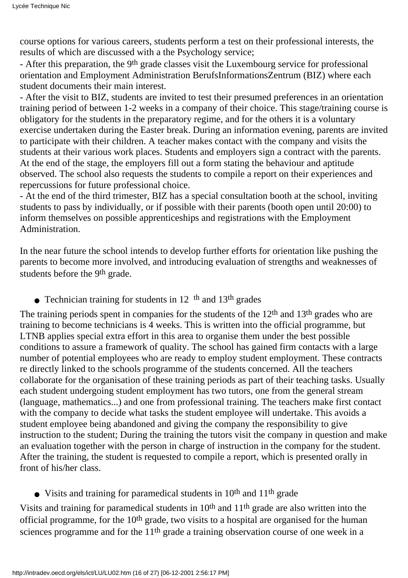course options for various careers, students perform a test on their professional interests, the results of which are discussed with a the Psychology service;

- After this preparation, the 9<sup>th</sup> grade classes visit the Luxembourg service for professional orientation and Employment Administration BerufsInformationsZentrum (BIZ) where each student documents their main interest.

- After the visit to BIZ, students are invited to test their presumed preferences in an orientation training period of between 1-2 weeks in a company of their choice. This stage/training course is obligatory for the students in the preparatory regime, and for the others it is a voluntary exercise undertaken during the Easter break. During an information evening, parents are invited to participate with their children. A teacher makes contact with the company and visits the students at their various work places. Students and employers sign a contract with the parents. At the end of the stage, the employers fill out a form stating the behaviour and aptitude observed. The school also requests the students to compile a report on their experiences and repercussions for future professional choice.

- At the end of the third trimester, BIZ has a special consultation booth at the school, inviting students to pass by individually, or if possible with their parents (booth open until 20:00) to inform themselves on possible apprenticeships and registrations with the Employment Administration.

In the near future the school intends to develop further efforts for orientation like pushing the parents to become more involved, and introducing evaluation of strengths and weaknesses of students before the 9th grade.

• Technician training for students in  $12<sup>th</sup>$  and  $13<sup>th</sup>$  grades

The training periods spent in companies for the students of the 12<sup>th</sup> and 13<sup>th</sup> grades who are training to become technicians is 4 weeks. This is written into the official programme, but LTNB applies special extra effort in this area to organise them under the best possible conditions to assure a framework of quality. The school has gained firm contacts with a large number of potential employees who are ready to employ student employment. These contracts re directly linked to the schools programme of the students concerned. All the teachers collaborate for the organisation of these training periods as part of their teaching tasks. Usually each student undergoing student employment has two tutors, one from the general stream (language, mathematics...) and one from professional training. The teachers make first contact with the company to decide what tasks the student employee will undertake. This avoids a student employee being abandoned and giving the company the responsibility to give instruction to the student; During the training the tutors visit the company in question and make an evaluation together with the person in charge of instruction in the company for the student. After the training, the student is requested to compile a report, which is presented orally in front of his/her class.

• Visits and training for paramedical students in  $10<sup>th</sup>$  and  $11<sup>th</sup>$  grade

Visits and training for paramedical students in  $10<sup>th</sup>$  and  $11<sup>th</sup>$  grade are also written into the official programme, for the 10th grade, two visits to a hospital are organised for the human sciences programme and for the  $11<sup>th</sup>$  grade a training observation course of one week in a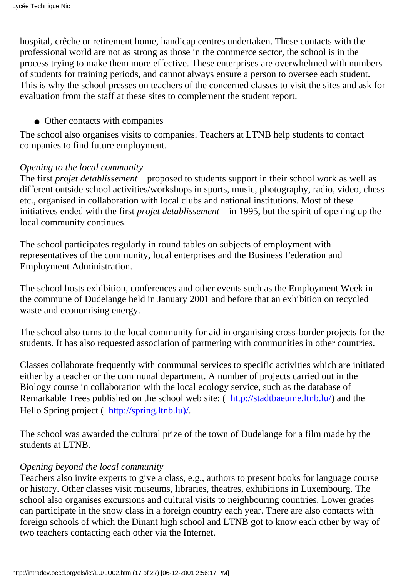hospital, crêche or retirement home, handicap centres undertaken. These contacts with the professional world are not as strong as those in the commerce sector, the school is in the process trying to make them more effective. These enterprises are overwhelmed with numbers of students for training periods, and cannot always ensure a person to oversee each student. This is why the school presses on teachers of the concerned classes to visit the sites and ask for evaluation from the staff at these sites to complement the student report.

• Other contacts with companies

The school also organises visits to companies. Teachers at LTNB help students to contact companies to find future employment.

## *Opening to the local community*

The first *projet d etablissement* proposed to students support in their school work as well as different outside school activities/workshops in sports, music, photography, radio, video, chess etc., organised in collaboration with local clubs and national institutions. Most of these initiatives ended with the first *projet d etablissement* in 1995, but the spirit of opening up the local community continues.

The school participates regularly in round tables on subjects of employment with representatives of the community, local enterprises and the Business Federation and Employment Administration.

The school hosts exhibition, conferences and other events such as the Employment Week in the commune of Dudelange held in January 2001 and before that an exhibition on recycled waste and economising energy.

The school also turns to the local community for aid in organising cross-border projects for the students. It has also requested association of partnering with communities in other countries.

Classes collaborate frequently with communal services to specific activities which are initiated either by a teacher or the communal department. A number of projects carried out in the Biology course in collaboration with the local ecology service, such as the database of Remarkable Trees published on the school web site: [\(http://stadtbaeume.ltnb.lu/](http://stadtbaeume.ltnb.lu/)) and the Hello Spring project [\(http://spring.ltnb.lu\)/](http://spring.ltnb.lu)/).

The school was awarded the cultural prize of the town of Dudelange for a film made by the students at LTNB.

# *Opening beyond the local community*

Teachers also invite experts to give a class, e.g., authors to present books for language course or history. Other classes visit museums, libraries, theatres, exhibitions in Luxembourg. The school also organises excursions and cultural visits to neighbouring countries. Lower grades can participate in the snow class in a foreign country each year. There are also contacts with foreign schools of which the Dinant high school and LTNB got to know each other by way of two teachers contacting each other via the Internet.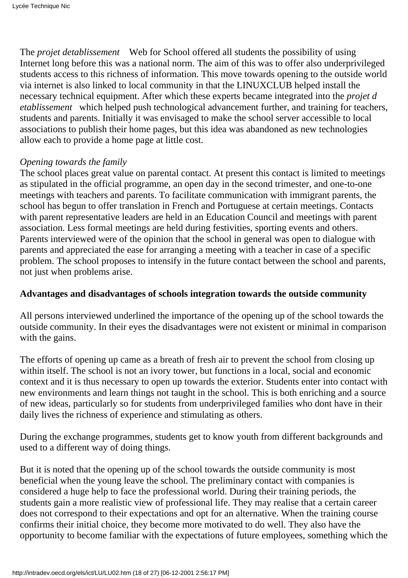The *projet detablissement* Web for School offered all students the possibility of using Internet long before this was a national norm. The aim of this was to offer also underprivileged students access to this richness of information. This move towards opening to the outside world via internet is also linked to local community in that the LINUXCLUB helped install the necessary technical equipment. After which these experts became integrated into the *projet d etablissement* which helped push technological advancement further, and training for teachers, students and parents. Initially it was envisaged to make the school server accessible to local associations to publish their home pages, but this idea was abandoned as new technologies allow each to provide a home page at little cost.

## *Opening towards the family*

The school places great value on parental contact. At present this contact is limited to meetings as stipulated in the official programme, an open day in the second trimester, and one-to-one meetings with teachers and parents. To facilitate communication with immigrant parents, the school has begun to offer translation in French and Portuguese at certain meetings. Contacts with parent representative leaders are held in an Education Council and meetings with parent association. Less formal meetings are held during festivities, sporting events and others. Parents interviewed were of the opinion that the school in general was open to dialogue with parents and appreciated the ease for arranging a meeting with a teacher in case of a specific problem. The school proposes to intensify in the future contact between the school and parents, not just when problems arise.

## **Advantages and disadvantages of schools integration towards the outside community**

All persons interviewed underlined the importance of the opening up of the school towards the outside community. In their eyes the disadvantages were not existent or minimal in comparison with the gains.

The efforts of opening up came as a breath of fresh air to prevent the school from closing up within itself. The school is not an ivory tower, but functions in a local, social and economic context and it is thus necessary to open up towards the exterior. Students enter into contact with new environments and learn things not taught in the school. This is both enriching and a source of new ideas, particularly so for students from underprivileged families who dont have in their daily lives the richness of experience and stimulating as others.

During the exchange programmes, students get to know youth from different backgrounds and used to a different way of doing things.

But it is noted that the opening up of the school towards the outside community is most beneficial when the young leave the school. The preliminary contact with companies is considered a huge help to face the professional world. During their training periods, the students gain a more realistic view of professional life. They may realise that a certain career does not correspond to their expectations and opt for an alternative. When the training course confirms their initial choice, they become more motivated to do well. They also have the opportunity to become familiar with the expectations of future employees, something which the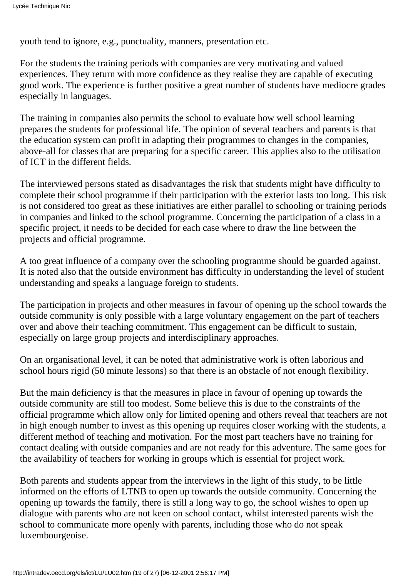youth tend to ignore, e.g., punctuality, manners, presentation etc.

For the students the training periods with companies are very motivating and valued experiences. They return with more confidence as they realise they are capable of executing good work. The experience is further positive a great number of students have mediocre grades especially in languages.

The training in companies also permits the school to evaluate how well school learning prepares the students for professional life. The opinion of several teachers and parents is that the education system can profit in adapting their programmes to changes in the companies, above-all for classes that are preparing for a specific career. This applies also to the utilisation of ICT in the different fields.

The interviewed persons stated as disadvantages the risk that students might have difficulty to complete their school programme if their participation with the exterior lasts too long. This risk is not considered too great as these initiatives are either parallel to schooling or training periods in companies and linked to the school programme. Concerning the participation of a class in a specific project, it needs to be decided for each case where to draw the line between the projects and official programme.

A too great influence of a company over the schooling programme should be guarded against. It is noted also that the outside environment has difficulty in understanding the level of student understanding and speaks a language foreign to students.

The participation in projects and other measures in favour of opening up the school towards the outside community is only possible with a large voluntary engagement on the part of teachers over and above their teaching commitment. This engagement can be difficult to sustain, especially on large group projects and interdisciplinary approaches.

On an organisational level, it can be noted that administrative work is often laborious and school hours rigid (50 minute lessons) so that there is an obstacle of not enough flexibility.

But the main deficiency is that the measures in place in favour of opening up towards the outside community are still too modest. Some believe this is due to the constraints of the official programme which allow only for limited opening and others reveal that teachers are not in high enough number to invest as this opening up requires closer working with the students, a different method of teaching and motivation. For the most part teachers have no training for contact dealing with outside companies and are not ready for this adventure. The same goes for the availability of teachers for working in groups which is essential for project work.

Both parents and students appear from the interviews in the light of this study, to be little informed on the efforts of LTNB to open up towards the outside community. Concerning the opening up towards the family, there is still a long way to go, the school wishes to open up dialogue with parents who are not keen on school contact, whilst interested parents wish the school to communicate more openly with parents, including those who do not speak luxembourgeoise.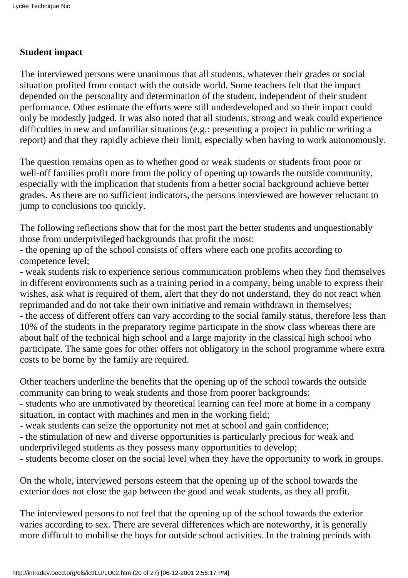# **Student impact**

The interviewed persons were unanimous that all students, whatever their grades or social situation profited from contact with the outside world. Some teachers felt that the impact depended on the personality and determination of the student, independent of their student performance. Other estimate the efforts were still underdeveloped and so their impact could only be modestly judged. It was also noted that all students, strong and weak could experience difficulties in new and unfamiliar situations (e.g.: presenting a project in public or writing a report) and that they rapidly achieve their limit, especially when having to work autonomously.

The question remains open as to whether good or weak students or students from poor or well-off families profit more from the policy of opening up towards the outside community, especially with the implication that students from a better social background achieve better grades. As there are no sufficient indicators, the persons interviewed are however reluctant to jump to conclusions too quickly.

The following reflections show that for the most part the better students and unquestionably those from underprivileged backgrounds that profit the most:

- the opening up of the school consists of offers where each one profits according to competence level;

- weak students risk to experience serious communication problems when they find themselves in different environments such as a training period in a company, being unable to express their wishes, ask what is required of them, alert that they do not understand, they do not react when reprimanded and do not take their own initiative and remain withdrawn in themselves; - the access of different offers can vary according to the social family status, therefore less than 10% of the students in the preparatory regime participate in the snow class whereas there are about half of the technical high school and a large majority in the classical high school who participate. The same goes for other offers not obligatory in the school programme where extra costs to be borne by the family are required.

Other teachers underline the benefits that the opening up of the school towards the outside community can bring to weak students and those from poorer backgrounds:

- students who are unmotivated by theoretical learning can feel more at home in a company situation, in contact with machines and men in the working field;

- weak students can seize the opportunity not met at school and gain confidence;

- the stimulation of new and diverse opportunities is particularly precious for weak and underprivileged students as they possess many opportunities to develop;

- students become closer on the social level when they have the opportunity to work in groups.

On the whole, interviewed persons esteem that the opening up of the school towards the exterior does not close the gap between the good and weak students, as they all profit.

The interviewed persons to not feel that the opening up of the school towards the exterior varies according to sex. There are several differences which are noteworthy, it is generally more difficult to mobilise the boys for outside school activities. In the training periods with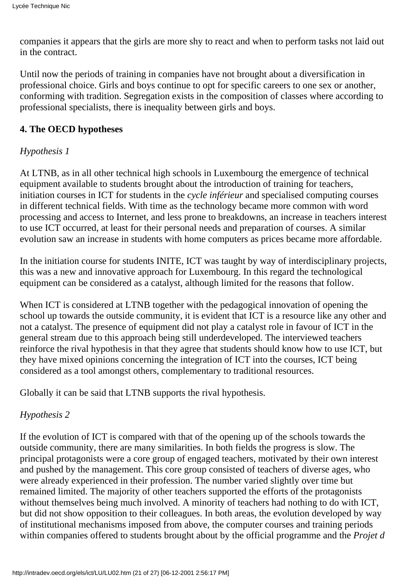companies it appears that the girls are more shy to react and when to perform tasks not laid out in the contract.

Until now the periods of training in companies have not brought about a diversification in professional choice. Girls and boys continue to opt for specific careers to one sex or another, conforming with tradition. Segregation exists in the composition of classes where according to professional specialists, there is inequality between girls and boys.

# **4. The OECD hypotheses**

# *Hypothesis 1*

At LTNB, as in all other technical high schools in Luxembourg the emergence of technical equipment available to students brought about the introduction of training for teachers, initiation courses in ICT for students in the *cycle inférieur* and specialised computing courses in different technical fields. With time as the technology became more common with word processing and access to Internet, and less prone to breakdowns, an increase in teachers interest to use ICT occurred, at least for their personal needs and preparation of courses. A similar evolution saw an increase in students with home computers as prices became more affordable.

In the initiation course for students INITE, ICT was taught by way of interdisciplinary projects, this was a new and innovative approach for Luxembourg. In this regard the technological equipment can be considered as a catalyst, although limited for the reasons that follow.

When ICT is considered at LTNB together with the pedagogical innovation of opening the school up towards the outside community, it is evident that ICT is a resource like any other and not a catalyst. The presence of equipment did not play a catalyst role in favour of ICT in the general stream due to this approach being still underdeveloped. The interviewed teachers reinforce the rival hypothesis in that they agree that students should know how to use ICT, but they have mixed opinions concerning the integration of ICT into the courses, ICT being considered as a tool amongst others, complementary to traditional resources.

Globally it can be said that LTNB supports the rival hypothesis.

# *Hypothesis 2*

If the evolution of ICT is compared with that of the opening up of the schools towards the outside community, there are many similarities. In both fields the progress is slow. The principal protagonists were a core group of engaged teachers, motivated by their own interest and pushed by the management. This core group consisted of teachers of diverse ages, who were already experienced in their profession. The number varied slightly over time but remained limited. The majority of other teachers supported the efforts of the protagonists without themselves being much involved. A minority of teachers had nothing to do with ICT, but did not show opposition to their colleagues. In both areas, the evolution developed by way of institutional mechanisms imposed from above, the computer courses and training periods within companies offered to students brought about by the official programme and the *Projet d*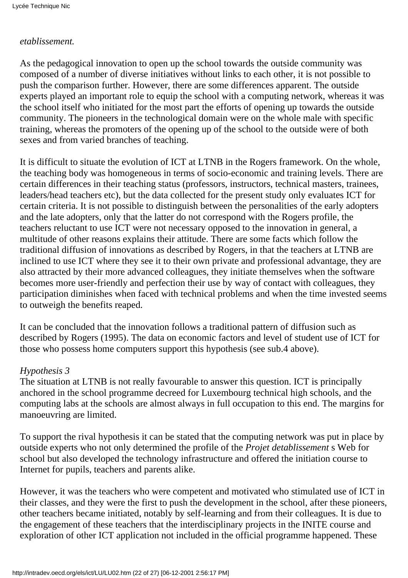## *etablissement.*

As the pedagogical innovation to open up the school towards the outside community was composed of a number of diverse initiatives without links to each other, it is not possible to push the comparison further. However, there are some differences apparent. The outside experts played an important role to equip the school with a computing network, whereas it was the school itself who initiated for the most part the efforts of opening up towards the outside community. The pioneers in the technological domain were on the whole male with specific training, whereas the promoters of the opening up of the school to the outside were of both sexes and from varied branches of teaching.

It is difficult to situate the evolution of ICT at LTNB in the Rogers framework. On the whole, the teaching body was homogeneous in terms of socio-economic and training levels. There are certain differences in their teaching status (professors, instructors, technical masters, trainees, leaders/head teachers etc), but the data collected for the present study only evaluates ICT for certain criteria. It is not possible to distinguish between the personalities of the early adopters and the late adopters, only that the latter do not correspond with the Roger s profile, the teachers reluctant to use ICT were not necessary opposed to the innovation in general, a multitude of other reasons explains their attitude. There are some facts which follow the traditional diffusion of innovations as described by Rogers, in that the teachers at LTNB are inclined to use ICT where they see it to their own private and professional advantage, they are also attracted by their more advanced colleagues, they initiate themselves when the software becomes more user-friendly and perfection their use by way of contact with colleagues, they participation diminishes when faced with technical problems and when the time invested seems to outweigh the benefits reaped.

It can be concluded that the innovation follows a traditional pattern of diffusion such as described by Rogers (1995). The data on economic factors and level of student use of ICT for those who possess home computers support this hypothesis (see sub.4 above).

## *Hypothesis 3*

The situation at LTNB is not really favourable to answer this question. ICT is principally anchored in the school programme decreed for Luxembourg technical high schools, and the computing labs at the schools are almost always in full occupation to this end. The margins for manoeuvring are limited.

To support the rival hypothesis it can be stated that the computing network was put in place by outside experts who not only determined the profile of the *Projet detablissement*s Web for school but also developed the technology infrastructure and offered the initiation course to Internet for pupils, teachers and parents alike.

However, it was the teachers who were competent and motivated who stimulated use of ICT in their classes, and they were the first to push the development in the school, after these pioneers, other teachers became initiated, notably by self-learning and from their colleagues. It is due to the engagement of these teachers that the interdisciplinary projects in the INITE course and exploration of other ICT application not included in the official programme happened. These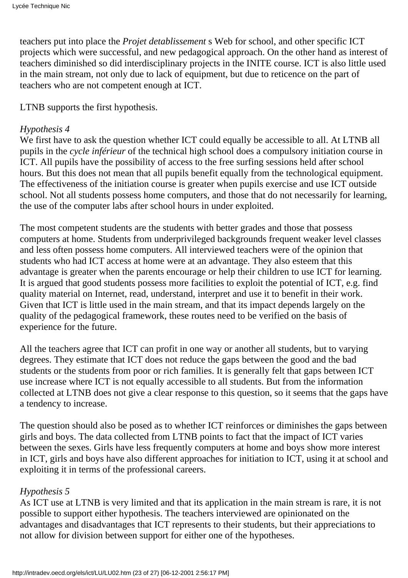teachers put into place the *Projet detablissement*s Web for school, and other specific ICT projects which were successful, and new pedagogical approach. On the other hand as interest of teachers diminished so did interdisciplinary projects in the INITE course. ICT is also little used in the main stream, not only due to lack of equipment, but due to reticence on the part of teachers who are not competent enough at ICT.

LTNB supports the first hypothesis.

## *Hypothesis 4*

We first have to ask the question whether ICT could equally be accessible to all. At LTNB all pupils in the *cycle inférieur* of the technical high school does a compulsory initiation course in ICT. All pupils have the possibility of access to the free surfing sessions held after school hours. But this does not mean that all pupils benefit equally from the technological equipment. The effectiveness of the initiation course is greater when pupils exercise and use ICT outside school. Not all students possess home computers, and those that do not necessarily for learning, the use of the computer labs after school hours in under exploited.

The most competent students are the students with better grades and those that possess computers at home. Students from underprivileged backgrounds frequent weaker level classes and less often possess home computers. All interviewed teachers were of the opinion that students who had ICT access at home were at an advantage. They also esteem that this advantage is greater when the parents encourage or help their children to use ICT for learning. It is argued that good students possess more facilities to exploit the potential of ICT, e.g. find quality material on Internet, read, understand, interpret and use it to benefit in their work. Given that ICT is little used in the main stream, and that its impact depends largely on the quality of the pedagogical framework, these routes need to be verified on the basis of experience for the future.

All the teachers agree that ICT can profit in one way or another all students, but to varying degrees. They estimate that ICT does not reduce the gaps between the good and the bad students or the students from poor or rich families. It is generally felt that gaps between ICT use increase where ICT is not equally accessible to all students. But from the information collected at LTNB does not give a clear response to this question, so it seems that the gaps have a tendency to increase.

The question should also be posed as to whether ICT reinforces or diminishes the gaps between girls and boys. The data collected from LTNB points to fact that the impact of ICT varies between the sexes. Girls have less frequently computers at home and boys show more interest in ICT, girls and boys have also different approaches for initiation to ICT, using it at school and exploiting it in terms of the professional careers.

# *Hypothesis 5*

As ICT use at LTNB is very limited and that its application in the main stream is rare, it is not possible to support either hypothesis. The teachers interviewed are opinionated on the advantages and disadvantages that ICT represents to their students, but their appreciation s to not allow for division between support for either one of the hypotheses.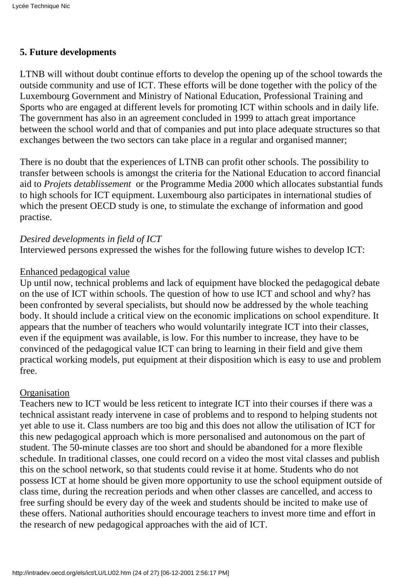## **5. Future developments**

LTNB will without doubt continue efforts to develop the opening up of the school towards the outside community and use of ICT. These efforts will be done together with the policy of the Luxembourg Government and Ministry of National Education, Professional Training and Sports who are engaged at different levels for promoting ICT within schools and in daily life. The government has also in an agreement concluded in 1999 to attach great importance between the school world and that of companies and put into place adequate structures so that exchanges between the two sectors can take place in a regular and organised manner;

There is no doubt that the experiences of LTNB can profit other schools. The possibility to transfer between schools is amongst the criteria for the National Education to accord financial aid to *Projets detablissement* or the Programme Media 2000 which allocates substantial funds to high schools for ICT equipment. Luxembourg also participates in international studies of which the present OECD study is one, to stimulate the exchange of information and good practise.

#### *Desired developments in field of ICT*

Interviewed persons expressed the wishes for the following future wishes to develop ICT:

#### Enhanced pedagogical value

Up until now, technical problems and lack of equipment have blocked the pedagogical debate on the use of ICT within schools. The question of how to use ICT and school and why? has been confronted by several specialists, but should now be addressed by the whole teaching body. It should include a critical view on the economic implications on school expenditure. It appears that the number of teachers who would voluntarily integrate ICT into their classes, even if the equipment was available, is low. For this number to increase, they have to be convinced of the pedagogical value ICT can bring to learning in their field and give them practical working models, put equipment at their disposition which is easy to use and problem free.

#### **Organisation**

Teachers new to ICT would be less reticent to integrate ICT into their courses if there was a technical assistant ready intervene in case of problems and to respond to helping students not yet able to use it. Class numbers are too big and this does not allow the utilisation of ICT for this new pedagogical approach which is more personalised and autonomous on the part of student. The 50-minute classes are too short and should be abandoned for a more flexible schedule. In traditional classes, one could record on a video the most vital classes and publish this on the school network, so that students could revise it at home. Students who do not possess ICT at home should be given more opportunity to use the school equipment outside of class time, during the recreation periods and when other classes are cancelled, and access to free surfing should be every day of the week and students should be incited to make use of these offers. National authorities should encourage teachers to invest more time and effort in the research of new pedagogical approaches with the aid of ICT.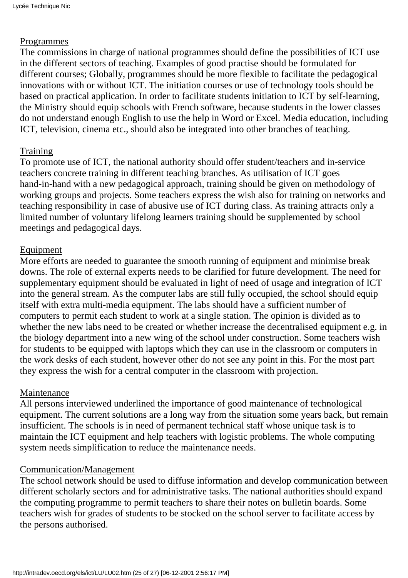## Programmes

The commissions in charge of national programmes should define the possibilities of ICT use in the different sectors of teaching. Examples of good practise should be formulated for different courses; Globally, programmes should be more flexible to facilitate the pedagogical innovations with or without ICT. The initiation courses or use of technology tools should be based on practical application. In order to facilitate students initiation to ICT by self-learning, the Ministry should equip schools with French software, because students in the lower classes do not understand enough English to use the help in Word or Excel. Media education, including ICT, television, cinema etc., should also be integrated into other branches of teaching.

# Training

To promote use of ICT, the national authority should offer student/teachers and in-service teachers concrete training in different teaching branches. As utilisation of ICT goes hand-in-hand with a new pedagogical approach, training should be given on methodology of working groups and projects. Some teachers express the wish also for training on networks and teaching responsibility in case of abusive use of ICT during class. As training attracts only a limited number of voluntary lifelong learners training should be supplemented by school meetings and pedagogical days.

# Equipment

More efforts are needed to guarantee the smooth running of equipment and minimise break downs. The role of external experts needs to be clarified for future development. The need for supplementary equipment should be evaluated in light of need of usage and integration of ICT into the general stream. As the computer labs are still fully occupied, the school should equip itself with extra multi-media equipment. The labs should have a sufficient number of computers to permit each student to work at a single station. The opinion is divided as to whether the new labs need to be created or whether increase the decentralised equipment e.g. in the biology department into a new wing of the school under construction. Some teachers wish for students to be equipped with laptops which they can use in the classroom or computers in the work desks of each student, however other do not see any point in this. For the most part they express the wish for a central computer in the classroom with projection.

# Maintenance

All persons interviewed underlined the importance of good maintenance of technological equipment. The current solutions are a long way from the situation some years back, but remain insufficient. The schools is in need of permanent technical staff whose unique task is to maintain the ICT equipment and help teachers with logistic problems. The whole computing system needs simplification to reduce the maintenance needs.

# Communication/Management

The school network should be used to diffuse information and develop communication between different scholarly sectors and for administrative tasks. The national authorities should expand the computing programme to permit teachers to share their notes on bulletin boards. Some teachers wish for grades of students to be stocked on the school server to facilitate access by the persons authorised.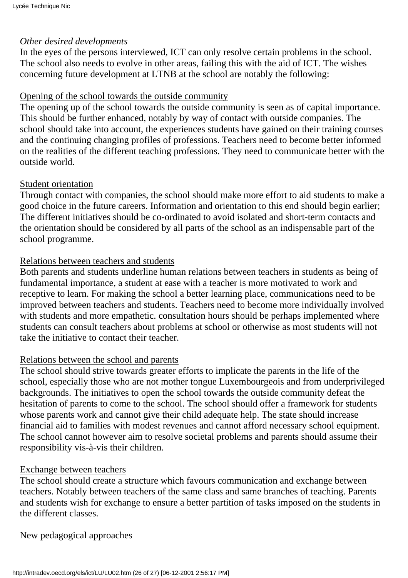#### *Other desired developments*

In the eyes of the persons interviewed, ICT can only resolve certain problems in the school. The school also needs to evolve in other areas, failing this with the aid of ICT. The wishes concerning future development at LTNB at the school are notably the following:

#### Opening of the school towards the outside community

The opening up of the school towards the outside community is seen as of capital importance. This should be further enhanced, notably by way of contact with outside companies. The school should take into account, the experiences students have gained on their training courses and the continuing changing profiles of professions. Teachers need to become better informed on the realities of the different teaching professions. They need to communicate better with the outside world.

#### Student orientation

Through contact with companies, the school should make more effort to aid students to make a good choice in the future careers. Information and orientation to this end should begin earlier; The different initiatives should be co-ordinated to avoid isolated and short-term contacts and the orientation should be considered by all parts of the school as an indispensable part of the school programme.

#### Relations between teachers and students

Both parents and students underline human relations between teachers in students as being of fundamental importance, a student at ease with a teacher is more motivated to work and receptive to learn. For making the school a better learning place, communications need to be improved between teachers and students. Teachers need to become more individually involved with students and more empathetic. consultation hours should be perhaps implemented where students can consult teachers about problems at school or otherwise as most students will not take the initiative to contact their teacher.

#### Relations between the school and parents

The school should strive towards greater efforts to implicate the parents in the life of the school, especially those who are not mother tongue Luxembourgeois and from underprivileged backgrounds. The initiatives to open the school towards the outside community defeat the hesitation of parents to come to the school. The school should offer a framework for students whose parents work and cannot give their child adequate help. The state should increase financial aid to families with modest revenues and cannot afford necessary school equipment. The school cannot however aim to resolve societal problems and parents should assume their responsibility vis-à-vis their children.

#### Exchange between teachers

The school should create a structure which favours communication and exchange between teachers. Notably between teachers of the same class and same branches of teaching. Parents and students wish for exchange to ensure a better partition of tasks imposed on the students in the different classes.

New pedagogical approaches